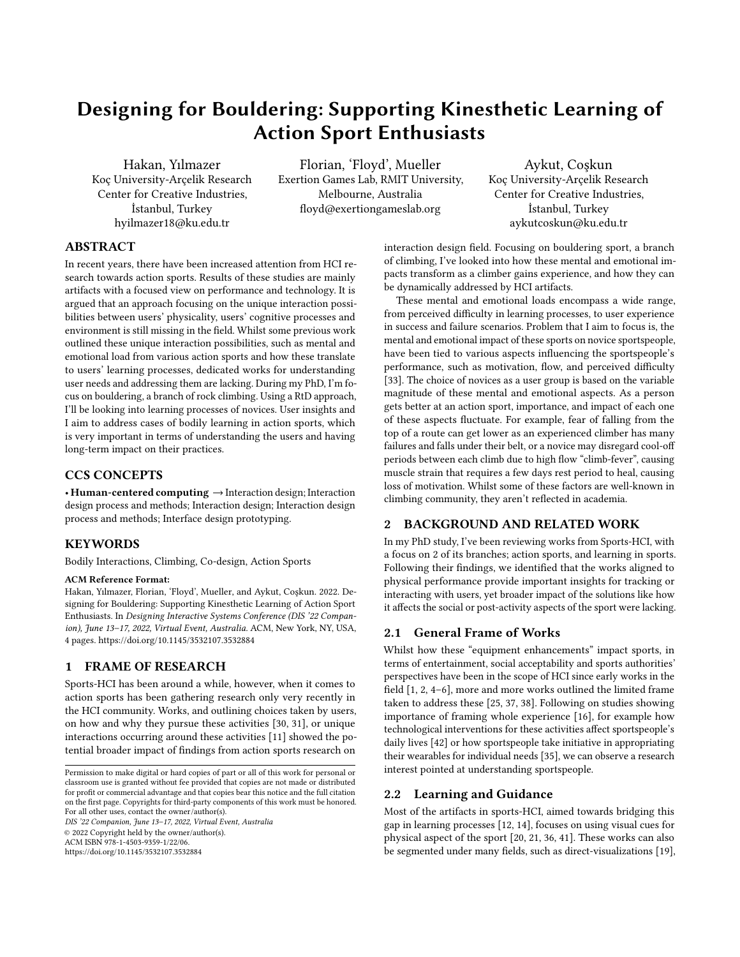# Designing for Bouldering: Supporting Kinesthetic Learning of Action Sport Enthusiasts

Hakan, Yılmazer Koç University-Arçelik Research Center for Creative Industries, İstanbul, Turkey hyilmazer18@ku.edu.tr

Florian, 'Floyd', Mueller Exertion Games Lab, RMIT University, Melbourne, Australia floyd@exertiongameslab.org

Aykut, Coşkun Koç University-Arçelik Research Center for Creative Industries, İstanbul, Turkey aykutcoskun@ku.edu.tr

## ABSTRACT

In recent years, there have been increased attention from HCI research towards action sports. Results of these studies are mainly artifacts with a focused view on performance and technology. It is argued that an approach focusing on the unique interaction possibilities between users' physicality, users' cognitive processes and environment is still missing in the field. Whilst some previous work outlined these unique interaction possibilities, such as mental and emotional load from various action sports and how these translate to users' learning processes, dedicated works for understanding user needs and addressing them are lacking. During my PhD, I'm focus on bouldering, a branch of rock climbing. Using a RtD approach, I'll be looking into learning processes of novices. User insights and I aim to address cases of bodily learning in action sports, which is very important in terms of understanding the users and having long-term impact on their practices.

## CCS CONCEPTS

 $\cdot$  Human-centered computing  $\rightarrow$  Interaction design; Interaction design process and methods; Interaction design; Interaction design process and methods; Interface design prototyping.

## **KEYWORDS**

Bodily Interactions, Climbing, Co-design, Action Sports

#### ACM Reference Format:

Hakan, Yılmazer, Florian, 'Floyd', Mueller, and Aykut, Coşkun. 2022. Designing for Bouldering: Supporting Kinesthetic Learning of Action Sport Enthusiasts. In *Designing Interactive Systems Conference (DIS '22 Companion), June 13–17, 2022, Virtual Event, Australia.* ACM, New York, NY, USA, 4 pages. https://doi.org/10.1145/3532107.3532884

#### 1 FRAME OF RESEARCH

Sports-HCI has been around a while, however, when it comes to action sports has been gathering research only very recently in the HCI community. Works, and outlining choices taken by users, on how and why they pursue these activities [30, 31], or unique interactions occurring around these activities [11] showed the potential broader impact of findings from action sports research on

*DIS '22 Companion, June 13–17, 2022, Virtual Event, Australia* © 2022 Copyright held by the owner/author(s). ACM ISBN 978-1-4503-9359-1/22/06.

https://doi.org/10.1145/3532107.3532884

interaction design field. Focusing on bouldering sport, a branch of climbing, I've looked into how these mental and emotional impacts transform as a climber gains experience, and how they can be dynamically addressed by HCI artifacts.

These mental and emotional loads encompass a wide range, from perceived difficulty in learning processes, to user experience in success and failure scenarios. Problem that I aim to focus is, the mental and emotional impact of these sports on novice sportspeople, have been tied to various aspects influencing the sportspeople's performance, such as motivation, flow, and perceived difficulty [33]. The choice of novices as a user group is based on the variable magnitude of these mental and emotional aspects. As a person gets better at an action sport, importance, and impact of each one of these aspects fluctuate. For example, fear of falling from the top of a route can get lower as an experienced climber has many failures and falls under their belt, or a novice may disregard cool-off periods between each climb due to high flow "climb-fever", causing muscle strain that requires a few days rest period to heal, causing loss of motivation. Whilst some of these factors are well-known in climbing community, they aren't reflected in academia.

## 2 BACKGROUND AND RELATED WORK

In my PhD study, I've been reviewing works from Sports-HCI, with a focus on 2 of its branches; action sports, and learning in sports. Following their findings, we identified that the works aligned to physical performance provide important insights for tracking or interacting with users, yet broader impact of the solutions like how it affects the social or post-activity aspects of the sport were lacking.

### 2.1 General Frame of Works

Whilst how these "equipment enhancements" impact sports, in terms of entertainment, social acceptability and sports authorities' perspectives have been in the scope of HCI since early works in the field  $[1, 2, 4-6]$ , more and more works outlined the limited frame taken to address these [25, 37, 38]. Following on studies showing importance of framing whole experience [16], for example how technological interventions for these activities affect sportspeople's daily lives [42] or how sportspeople take initiative in appropriating their wearables for individual needs [35], we can observe a research interest pointed at understanding sportspeople.

### 2.2 Learning and Guidance

Most of the artifacts in sports-HCI, aimed towards bridging this gap in learning processes [12, 14], focuses on using visual cues for physical aspect of the sport [20, 21, 36, 41]. These works can also be segmented under many fields, such as direct-visualizations [19],

Permission to make digital or hard copies of part or all of this work for personal or classroom use is granted without fee provided that copies are not made or distributed for profit or commercial advantage and that copies bear this notice and the full citation on the first page. Copyrights for third-party components of this work must be honored. For all other uses, contact the owner/author(s).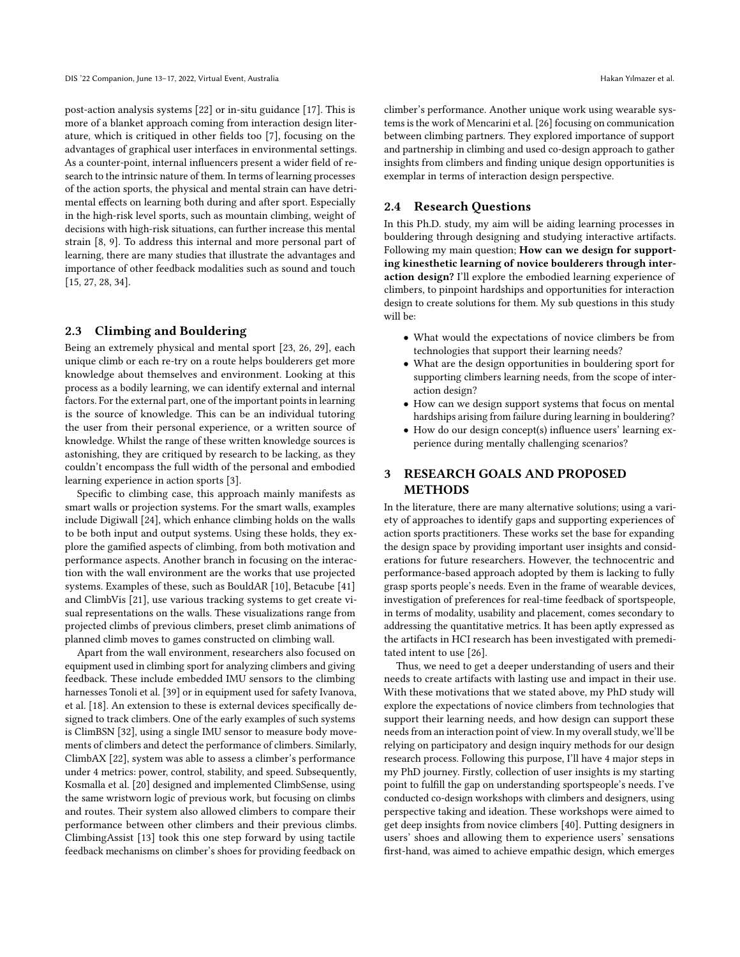post-action analysis systems [22] or in-situ guidance [17]. This is more of a blanket approach coming from interaction design literature, which is critiqued in other fields too [7], focusing on the advantages of graphical user interfaces in environmental settings. As a counter-point, internal influencers present a wider field of research to the intrinsic nature of them. In terms of learning processes of the action sports, the physical and mental strain can have detrimental effects on learning both during and after sport. Especially in the high-risk level sports, such as mountain climbing, weight of decisions with high-risk situations, can further increase this mental strain [8, 9]. To address this internal and more personal part of learning, there are many studies that illustrate the advantages and importance of other feedback modalities such as sound and touch [15, 27, 28, 34].

#### 2.3 Climbing and Bouldering

Being an extremely physical and mental sport [23, 26, 29], each unique climb or each re-try on a route helps boulderers get more knowledge about themselves and environment. Looking at this process as a bodily learning, we can identify external and internal factors. For the external part, one of the important points in learning is the source of knowledge. This can be an individual tutoring the user from their personal experience, or a written source of knowledge. Whilst the range of these written knowledge sources is astonishing, they are critiqued by research to be lacking, as they couldn't encompass the full width of the personal and embodied learning experience in action sports [3].

Specific to climbing case, this approach mainly manifests as smart walls or projection systems. For the smart walls, examples include Digiwall [24], which enhance climbing holds on the walls to be both input and output systems. Using these holds, they explore the gamified aspects of climbing, from both motivation and performance aspects. Another branch in focusing on the interaction with the wall environment are the works that use projected systems. Examples of these, such as BouldAR [10], Betacube [41] and ClimbVis [21], use various tracking systems to get create visual representations on the walls. These visualizations range from projected climbs of previous climbers, preset climb animations of planned climb moves to games constructed on climbing wall.

Apart from the wall environment, researchers also focused on equipment used in climbing sport for analyzing climbers and giving feedback. These include embedded IMU sensors to the climbing harnesses Tonoli et al. [39] or in equipment used for safety Ivanova, et al. [18]. An extension to these is external devices specifically designed to track climbers. One of the early examples of such systems is ClimBSN [32], using a single IMU sensor to measure body movements of climbers and detect the performance of climbers. Similarly, ClimbAX [22], system was able to assess a climber's performance under 4 metrics: power, control, stability, and speed. Subsequently, Kosmalla et al. [20] designed and implemented ClimbSense, using the same wristworn logic of previous work, but focusing on climbs and routes. Their system also allowed climbers to compare their performance between other climbers and their previous climbs. ClimbingAssist [13] took this one step forward by using tactile feedback mechanisms on climber's shoes for providing feedback on

climber's performance. Another unique work using wearable systems is the work of Mencarini et al. [26] focusing on communication between climbing partners. They explored importance of support and partnership in climbing and used co-design approach to gather insights from climbers and finding unique design opportunities is exemplar in terms of interaction design perspective.

### 2.4 Research Questions

In this Ph.D. study, my aim will be aiding learning processes in bouldering through designing and studying interactive artifacts. Following my main question; How can we design for supporting kinesthetic learning of novice boulderers through interaction design? I'll explore the embodied learning experience of climbers, to pinpoint hardships and opportunities for interaction design to create solutions for them. My sub questions in this study will be:

- What would the expectations of novice climbers be from technologies that support their learning needs?
- What are the design opportunities in bouldering sport for supporting climbers learning needs, from the scope of interaction design?
- How can we design support systems that focus on mental hardships arising from failure during learning in bouldering?
- How do our design concept(s) influence users' learning experience during mentally challenging scenarios?

## 3 RESEARCH GOALS AND PROPOSED **METHODS**

In the literature, there are many alternative solutions; using a variety of approaches to identify gaps and supporting experiences of action sports practitioners. These works set the base for expanding the design space by providing important user insights and considerations for future researchers. However, the technocentric and performance-based approach adopted by them is lacking to fully grasp sports people's needs. Even in the frame of wearable devices, investigation of preferences for real-time feedback of sportspeople, in terms of modality, usability and placement, comes secondary to addressing the quantitative metrics. It has been aptly expressed as the artifacts in HCI research has been investigated with premeditated intent to use [26].

Thus, we need to get a deeper understanding of users and their needs to create artifacts with lasting use and impact in their use. With these motivations that we stated above, my PhD study will explore the expectations of novice climbers from technologies that support their learning needs, and how design can support these needs from an interaction point of view. In my overall study, we'll be relying on participatory and design inquiry methods for our design research process. Following this purpose, I'll have 4 major steps in my PhD journey. Firstly, collection of user insights is my starting point to fulfill the gap on understanding sportspeople's needs. I've conducted co-design workshops with climbers and designers, using perspective taking and ideation. These workshops were aimed to get deep insights from novice climbers [40]. Putting designers in users' shoes and allowing them to experience users' sensations first-hand, was aimed to achieve empathic design, which emerges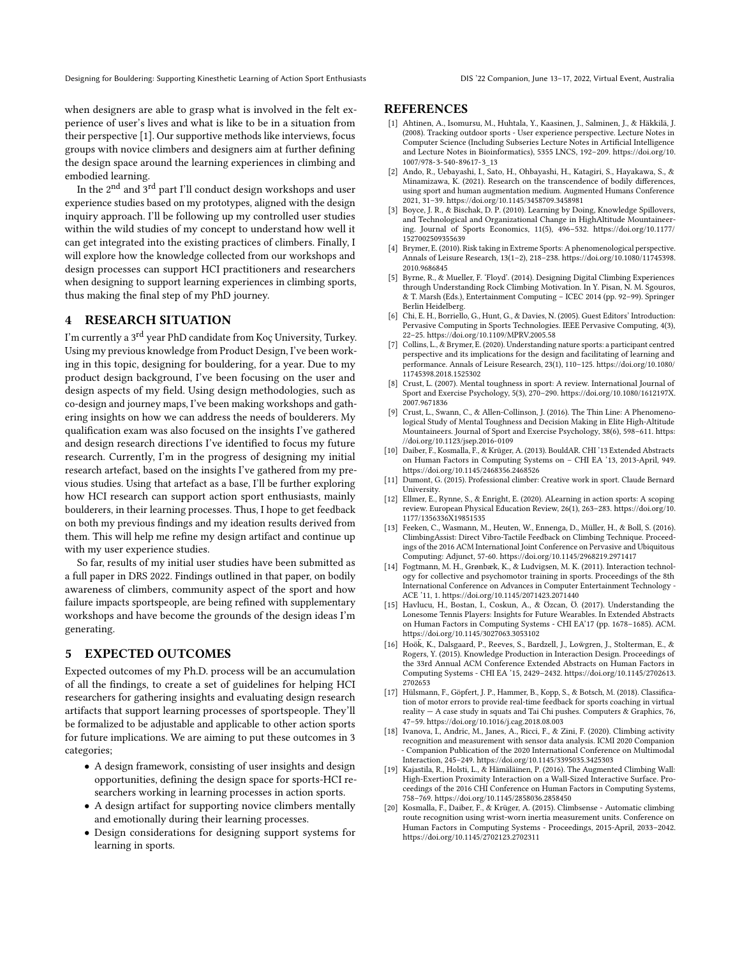Designing for Bouldering: Supporting Kinesthetic Learning of Action Sport Enthusiasts DIS '22 Companion, June 13–17, 2022, Virtual Event, Australia

when designers are able to grasp what is involved in the felt experience of user's lives and what is like to be in a situation from their perspective [1]. Our supportive methods like interviews, focus groups with novice climbers and designers aim at further defining the design space around the learning experiences in climbing and embodied learning.

In the  $2<sup>nd</sup>$  and  $3<sup>rd</sup>$  part I'll conduct design workshops and user experience studies based on my prototypes, aligned with the design inquiry approach. I'll be following up my controlled user studies within the wild studies of my concept to understand how well it can get integrated into the existing practices of climbers. Finally, I will explore how the knowledge collected from our workshops and design processes can support HCI practitioners and researchers when designing to support learning experiences in climbing sports, thus making the final step of my PhD journey.

## 4 RESEARCH SITUATION

I'm currently a 3rd year PhD candidate from Koç University, Turkey. Using my previous knowledge from Product Design, I've been working in this topic, designing for bouldering, for a year. Due to my product design background, I've been focusing on the user and design aspects of my field. Using design methodologies, such as co-design and journey maps, I've been making workshops and gathering insights on how we can address the needs of boulderers. My qualification exam was also focused on the insights I've gathered and design research directions I've identified to focus my future research. Currently, I'm in the progress of designing my initial research artefact, based on the insights I've gathered from my previous studies. Using that artefact as a base, I'll be further exploring how HCI research can support action sport enthusiasts, mainly boulderers, in their learning processes. Thus, I hope to get feedback on both my previous findings and my ideation results derived from them. This will help me refine my design artifact and continue up with my user experience studies.

So far, results of my initial user studies have been submitted as a full paper in DRS 2022. Findings outlined in that paper, on bodily awareness of climbers, community aspect of the sport and how failure impacts sportspeople, are being refined with supplementary workshops and have become the grounds of the design ideas I'm generating.

#### 5 EXPECTED OUTCOMES

Expected outcomes of my Ph.D. process will be an accumulation of all the findings, to create a set of guidelines for helping HCI researchers for gathering insights and evaluating design research artifacts that support learning processes of sportspeople. They'll be formalized to be adjustable and applicable to other action sports for future implications. We are aiming to put these outcomes in 3 categories;

- A design framework, consisting of user insights and design opportunities, defining the design space for sports-HCI researchers working in learning processes in action sports.
- A design artifact for supporting novice climbers mentally and emotionally during their learning processes.
- Design considerations for designing support systems for learning in sports.

#### **REFERENCES**

- [1] Ahtinen, A., Isomursu, M., Huhtala, Y., Kaasinen, J., Salminen, J., & Häkkilä, J. (2008). Tracking outdoor sports - User experience perspective. Lecture Notes in Computer Science (Including Subseries Lecture Notes in Artificial Intelligence and Lecture Notes in Bioinformatics), 5355 LNCS, 192–209. https://doi.org/10. 1007/978-3-540-89617-3\_13
- [2] Ando, R., Uebayashi, I., Sato, H., Ohbayashi, H., Katagiri, S., Hayakawa, S., & Minamizawa, K. (2021). Research on the transcendence of bodily differences, using sport and human augmentation medium. Augmented Humans Conference 2021, 31–39. https://doi.org/10.1145/3458709.3458981
- [3] Boyce, J. R., & Bischak, D. P. (2010). Learning by Doing, Knowledge Spillovers, and Technological and Organizational Change in HighAltitude Mountaineering. Journal of Sports Economics, 11(5), 496–532. https://doi.org/10.1177/ 1527002509355639
- [4] Brymer, E. (2010). Risk taking in Extreme Sports: A phenomenological perspective. Annals of Leisure Research, 13(1–2), 218–238. https://doi.org/10.1080/11745398. 2010.9686845
- [5] Byrne, R., & Mueller, F. 'Floyd'. (2014). Designing Digital Climbing Experiences through Understanding Rock Climbing Motivation. In Y. Pisan, N. M. Sgouros, & T. Marsh (Eds.), Entertainment Computing – ICEC 2014 (pp. 92–99). Springer Berlin Heidelberg.
- [6] Chi, E. H., Borriello, G., Hunt, G., & Davies, N. (2005). Guest Editors' Introduction: Pervasive Computing in Sports Technologies. IEEE Pervasive Computing, 4(3), 22–25. https://doi.org/10.1109/MPRV.2005.58
- [7] Collins, L., & Brymer, E. (2020). Understanding nature sports: a participant centred perspective and its implications for the design and facilitating of learning and performance. Annals of Leisure Research, 23(1), 110–125. https://doi.org/10.1080/ 11745398.2018.1525302
- [8] Crust, L. (2007). Mental toughness in sport: A review. International Journal of Sport and Exercise Psychology, 5(3), 270–290. https://doi.org/10.1080/1612197X. 2007.9671836
- [9] Crust, L., Swann, C., & Allen-Collinson, J. (2016). The Thin Line: A Phenomenological Study of Mental Toughness and Decision Making in Elite High-Altitude Mountaineers. Journal of Sport and Exercise Psychology, 38(6), 598–611. https: //doi.org/10.1123/jsep.2016-0109
- [10] Daiber, F., Kosmalla, F., & Krüger, A. (2013). BouldAR. CHI '13 Extended Abstracts on Human Factors in Computing Systems on – CHI EA '13, 2013-April, 949. https://doi.org/10.1145/2468356.2468526
- [11] Dumont, G. (2015). Professional climber: Creative work in sport. Claude Bernard University.
- [12] Ellmer, E., Rynne, S., & Enright, E. (2020). ALearning in action sports: A scoping review. European Physical Education Review, 26(1), 263–283. https://doi.org/10. 1177/1356336X19851535
- [13] Feeken, C., Wasmann, M., Heuten, W., Ennenga, D., Müller, H., & Boll, S. (2016). ClimbingAssist: Direct Vibro-Tactile Feedback on Climbing Technique. Proceedings of the 2016 ACM International Joint Conference on Pervasive and Ubiquitous Computing: Adjunct, 57-60. https://doi.org/10.1145/2968219.2971417
- [14] Fogtmann, M. H., Grønbæk, K., & Ludvigsen, M. K. (2011). Interaction technology for collective and psychomotor training in sports. Proceedings of the 8th International Conference on Advances in Computer Entertainment Technology - ACE '11, 1. https://doi.org/10.1145/2071423.2071440
- [15] Havlucu, H., Bostan, I., Coskun, A., & Özcan, Ö. (2017). Understanding the Lonesome Tennis Players: Insights for Future Wearables. In Extended Abstracts on Human Factors in Computing Systems - CHI EA'17 (pp. 1678–1685). ACM. https://doi.org/10.1145/3027063.3053102
- [16] Hoök, K., Dalsgaard, P., Reeves, S., Bardzell, J., Lowgren, J., Stolterman, E., & Rogers, Y. (2015). Knowledge Production in Interaction Design. Proceedings of the 33rd Annual ACM Conference Extended Abstracts on Human Factors in Computing Systems - CHI EA '15, 2429–2432. https://doi.org/10.1145/2702613. 2702653
- [17] Hülsmann, F., Göpfert, J. P., Hammer, B., Kopp, S., & Botsch, M. (2018). Classification of motor errors to provide real-time feedback for sports coaching in virtual reality  $-$  A case study in squats and Tai Chi pushes. Computers & Graphics, 76, 47–59. https://doi.org/10.1016/j.cag.2018.08.003
- [18] Ivanova, I., Andric, M., Janes, A., Ricci, F., & Zini, F. (2020). Climbing activity recognition and measurement with sensor data analysis. ICMI 2020 Companion - Companion Publication of the 2020 International Conference on Multimodal Interaction, 245–249. https://doi.org/10.1145/3395035.3425303
- [19] Kajastila, R., Holsti, L., & Hämäläinen, P. (2016). The Augmented Climbing Wall: High-Exertion Proximity Interaction on a Wall-Sized Interactive Surface. Proceedings of the 2016 CHI Conference on Human Factors in Computing Systems, 758–769. https://doi.org/10.1145/2858036.2858450
- [20] Kosmalla, F., Daiber, F., & Krüger, A. (2015). Climbsense Automatic climbing route recognition using wrist-worn inertia measurement units. Conference on Human Factors in Computing Systems - Proceedings, 2015-April, 2033–2042. https://doi.org/10.1145/2702123.2702311